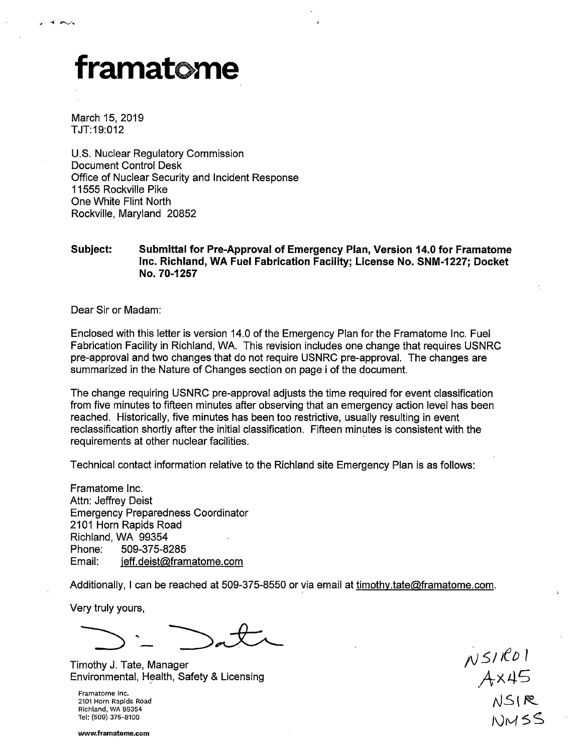## framatome

March 15, 2019 TJT:19:012

U.S. Nuclear Regulatory Commission Document Control Desk Office of Nuclear Security and Incident Response 11555 Rockville Pike One White Flint North Rockville, Maryland 20852

## **Subject: Submittal for Pre-Approval of Emergency Plan, Version 14.0 for Framatome Inc. Richland, WA Fuel Fabrication Facility; License No. SNM-1227; Docket No. 70-1257**

Dear Sir or Madam:

Enclosed with this letter is version 14.0 of the Emergency Plan for the Framatome Inc. Fuel Fabrication Facility in Richland, WA. This revision includes one change that requires USNRC pre-approval and two changes that do not require USNRC pre-approval. The changes are summarized in the Nature of Changes section on page i of the document.

The change requiring USNRC pre-approval adjusts the time required for event classification from five minutes to fifteen minutes after observing that an emergency action level has been reached. Historically, five minutes has been too restrictive, usually resulting in event reclassification shortly after the initial classification. Fifteen minutes is consistent with the requirements at other nuclear facilities.

Technical contact information relative to the Richland site Emergency Plan is as follows:

Framatome Inc. Attn: Jeffrey Deist Emergency Preparedness Coordinator 2101 Horn Rapids Road Richland, WA 99354 Phone: 509-375-8285 Email: jeff.deist@framatome.com

Additionally, I can be reached at 509-375-8550 or yia email at timothy.tate@framatome.com.

Very truly yours,

Timothy J. Tate, Manager Environmental, Health, Safety & Licensing

Framatome Inc. 2101 Horn Rapids Road Richland, WA 99354 Tel: (509) 375-8100

 $N$  5/ $RO1$  $A$  $\times$ 45  $NS$  ( $R$  $NMSS$ 

**www.framatome.com**